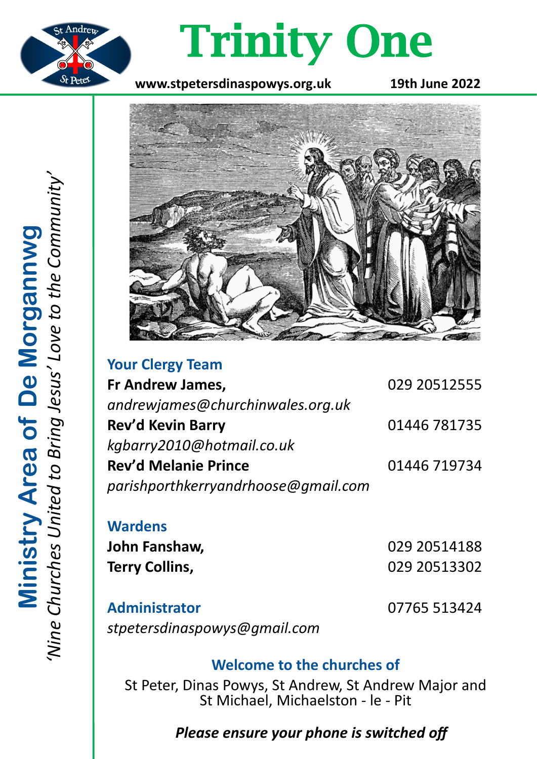

# **Trinity One**

**www.stpetersdinaspowys.org.uk 19th June 2022**



**Your Clergy Team Fr Andrew James,** 029 20512555 *andrewjames@churchinwales.org.uk* **Rev'd Kevin Barry** 01446 781735 *kgbarry2010@hotmail.co.uk* **Rev'd Melanie Prince** 01446 719734 *parishporthkerryandrhoose@gmail.com*

**Wardens John Fanshaw,** 029 20514188 **Terry Collins,** 029 20513302

**Administrator** 07765 513424 *stpetersdinaspowys@gmail.com*

# **Welcome to the churches of**

St Peter, Dinas Powys, St Andrew, St Andrew Major and St Michael, Michaelston - le - Pit

# *Please ensure your phone is switched off*

*'Nine Churches United to Bring Jesus' Love to the Community'* Ministry Area of De Morgannwg<br>Wine Churches United to Bring Jesus' Love to the Communi **Ministry Area of De Morgannwg**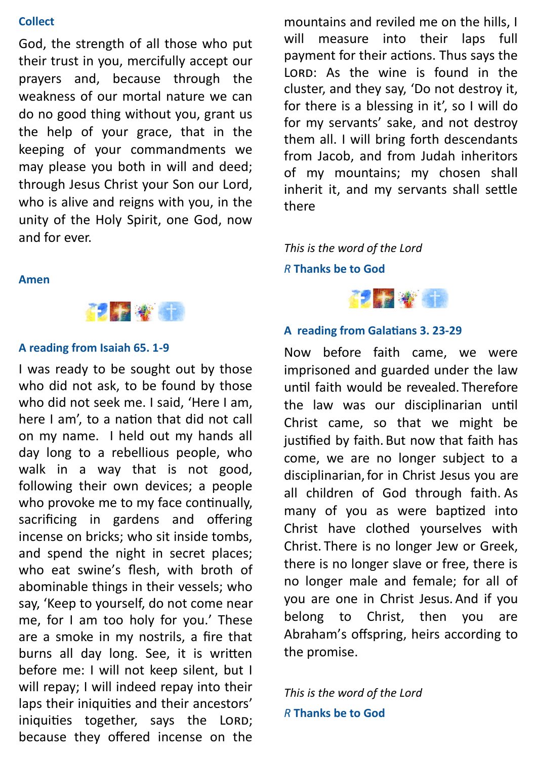### **Collect**

God, the strength of all those who put their trust in you, mercifully accept our prayers and, because through the weakness of our mortal nature we can do no good thing without you, grant us the help of your grace, that in the keeping of your commandments we may please you both in will and deed; through Jesus Christ your Son our Lord, who is alive and reigns with you, in the unity of the Holy Spirit, one God, now and for ever.

mountains and reviled me on the hills, I will measure into their laps full payment for their actions. Thus says the LORD: As the wine is found in the cluster, and they say, 'Do not destroy it, for there is a blessing in it', so I will do for my servants' sake, and not destroy them all. I will bring forth descendants from Jacob, and from Judah inheritors of my mountains; my chosen shall inherit it, and my servants shall settle there

*This is the word of the Lord R* **Thanks be to God**



#### **A reading from Galatians 3. 23-29**

Now before faith came, we were imprisoned and guarded under the law until faith would be revealed. Therefore the law was our disciplinarian until Christ came, so that we might be justified by faith. But now that faith has come, we are no longer subject to a disciplinarian, for in Christ Jesus you are all children of God through faith. As many of you as were baptized into Christ have clothed yourselves with Christ. There is no longer Jew or Greek, there is no longer slave or free, there is no longer male and female; for all of you are one in Christ Jesus. And if you belong to Christ, then you are Abraham's offspring, heirs according to the promise.

*This is the word of the Lord R* **Thanks be to God**

#### **Amen**



#### **A reading from Isaiah 65. 1-9**

I was ready to be sought out by those who did not ask, to be found by those who did not seek me. I said, 'Here I am, here I am', to a nation that did not call on my name. I held out my hands all day long to a rebellious people, who walk in a way that is not good, following their own devices; a people who provoke me to my face continually, sacrificing in gardens and offering incense on bricks; who sit inside tombs, and spend the night in secret places; who eat swine's flesh, with broth of abominable things in their vessels; who say, 'Keep to yourself, do not come near me, for I am too holy for you.' These are a smoke in my nostrils, a fire that burns all day long. See, it is written before me: I will not keep silent, but I will repay; I will indeed repay into their laps their iniquities and their ancestors' iniquities together, says the LORD; because they offered incense on the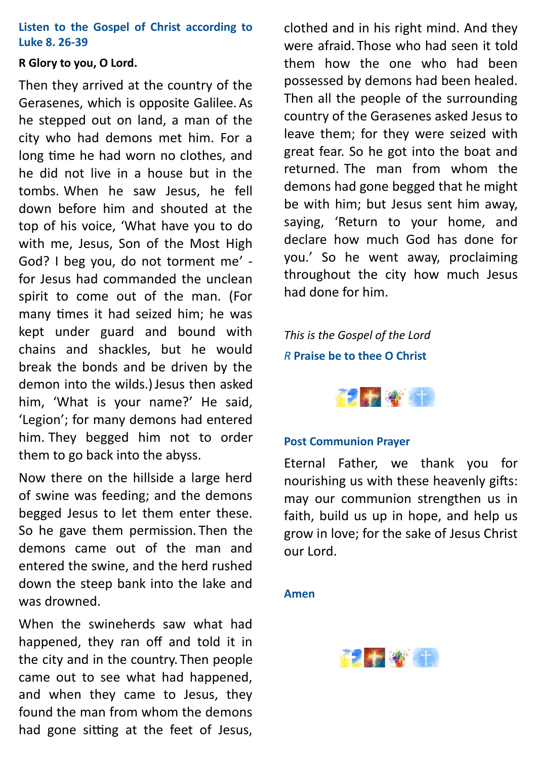# **Listen to the Gospel of Christ according to Luke 8. 26-39**

# **R Glory to you, O Lord.**

Then they arrived at the country of the Gerasenes, which is opposite Galilee.As he stepped out on land, a man of the city who had demons met him. For a long time he had worn no clothes, and he did not live in a house but in the tombs. When he saw Jesus, he fell down before him and shouted at the top of his voice, 'What have you to do with me, Jesus, Son of the Most High God? I beg you, do not torment me' for Jesus had commanded the unclean spirit to come out of the man. (For many times it had seized him; he was kept under guard and bound with chains and shackles, but he would break the bonds and be driven by the demon into the wilds.) Jesus then asked him, 'What is your name?' He said, 'Legion'; for many demons had entered him. They begged him not to order them to go back into the abyss.

Now there on the hillside a large herd of swine was feeding; and the demons begged Jesus to let them enter these. So he gave them permission. Then the demons came out of the man and entered the swine, and the herd rushed down the steep bank into the lake and was drowned.

When the swineherds saw what had happened, they ran off and told it in the city and in the country. Then people came out to see what had happened, and when they came to Jesus, they found the man from whom the demons had gone sitting at the feet of Jesus, clothed and in his right mind. And they were afraid. Those who had seen it told them how the one who had been possessed by demons had been healed. Then all the people of the surrounding country of the Gerasenes asked Jesus to leave them; for they were seized with great fear. So he got into the boat and returned. The man from whom the demons had gone begged that he might be with him; but Jesus sent him away, saying, 'Return to your home, and declare how much God has done for you.' So he went away, proclaiming throughout the city how much Jesus had done for him.

*This is the Gospel of the Lord R* **Praise be to thee O Christ**



#### **Post Communion Prayer**

Eternal Father, we thank you for nourishing us with these heavenly gifts: may our communion strengthen us in faith, build us up in hope, and help us grow in love; for the sake of Jesus Christ our Lord.

#### **Amen**